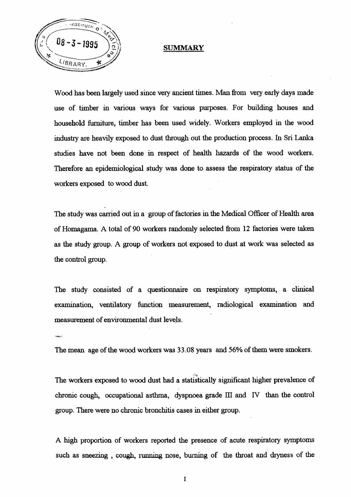



Wood has been largely used since very ancient times. Man from very early days made use of timber in various ways for various purposes. For building houses and household furniture, timber has been used widely. Workers employed in the wood

industry are heavily exposed to dust through out the production process. In Sri Lanka

studies have not been done in respect of health hazards of the wood workers.

Therefore an epidemiological study was done to assess the respiratory status of the workers exposed to wood dust.

The study was carried out in a group of factories in the Medical Officer of Health area of Homagama. A total of 90 workers randomly selected from 12 factories were taken as the study group. A group of workers not exposed to dust at work was selected as

the control group.

The study consisted of a questionnaire on respiratory symptoms, a clinical examination, ventilatory function measurement, radiological examination and measurement of environmental dust levels.

 $\sim$ 

The mean age of the wood workers was 33.08 years and 56% of them were smokers.

The workers exposed to wood dust had a statistically significant higher prevalence of chronic cough, occupational asthma, dyspnoea grade  $III$  and  $IV$  than the control

group. There were no chronic bronchitis cases in either group.

A high proportion of workers reported the presence of acute respiratory symptoms

such as sneezing , cough, running nose, burning of the throat and dryness of the

I